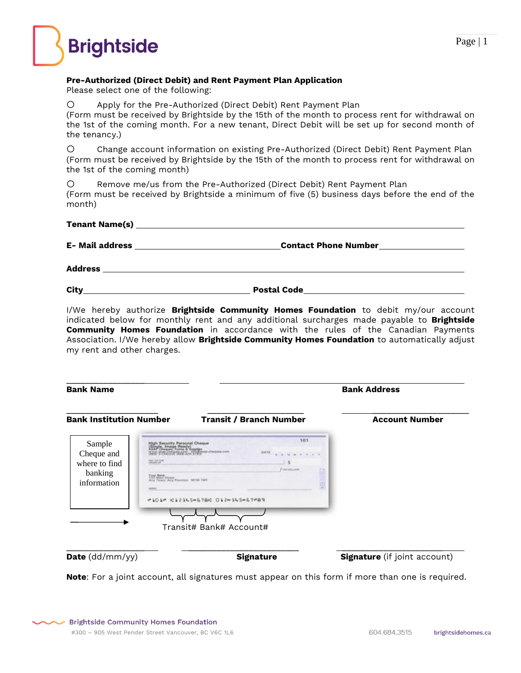# **Pre-Authorized (Direct Debit) and Rent Payment Plan Application**

Please select one of the following:

o Apply for the Pre-Authorized (Direct Debit) Rent Payment Plan (Form must be received by Brightside by the 15th of the month to process rent for withdrawal on the 1st of the coming month. For a new tenant, Direct Debit will be set up for second month of the tenancy.)

o Change account information on existing Pre-Authorized (Direct Debit) Rent Payment Plan (Form must be received by Brightside by the 15th of the month to process rent for withdrawal on the 1st of the coming month)

o Remove me/us from the Pre-Authorized (Direct Debit) Rent Payment Plan (Form must be received by Brightside a minimum of five (5) business days before the end of the month)

**Tenant Name(s)** 

**E- Mail address Contact Phone Number**

**City Postal Code**

I/We hereby authorize **Brightside Community Homes Foundation** to debit my/our account indicated below for monthly rent and any additional surcharges made payable to **Brightside Community Homes Foundation** in accordance with the rules of the Canadian Payments Association. I/We hereby allow **Brightside Community Homes Foundation** to automatically adjust my rent and other charges.

**Bank Name Bank Address** 

\_\_\_\_\_\_\_\_\_\_\_\_\_\_\_\_\_

**Address** 

\_\_\_\_\_\_\_\_\_\_\_\_\_\_\_\_\_\_\_\_ \_\_\_\_\_\_\_\_\_\_\_\_\_\_\_\_\_\_\_\_\_ \_\_\_\_\_\_\_\_\_\_\_\_\_\_\_\_\_\_\_\_\_ **Bank Institution Number Transit / Branch Number Account Number** 101 High Security Personal Cheque<br>Kilor Security Ready<br>Kilor Cleaser Form E Supplex Sample NEW Orange The Plants<br>NEW SOLUTION TO CHAIR THE CHRISTOP Cheque and **BENDY**  $\leq$ where to find Francisco banking Toy Bent Street<br>Any Town, Any Province MTM 1MT information#101\* <12345-678¢ 012-345-67\*89 Transit# Bank# Account# \_\_\_\_\_\_\_\_\_\_\_\_\_\_\_\_\_ \_\_\_\_\_\_\_\_\_\_\_\_\_\_\_\_\_\_\_\_\_\_\_\_ \_\_\_\_\_\_\_\_\_\_\_\_\_\_\_\_\_\_\_\_\_\_ **Date** (dd/mm/yy) **Signature Signature Signature** (if joint account)

**Note**: For a joint account, all signatures must appear on this form if more than one is required.

**Brightside**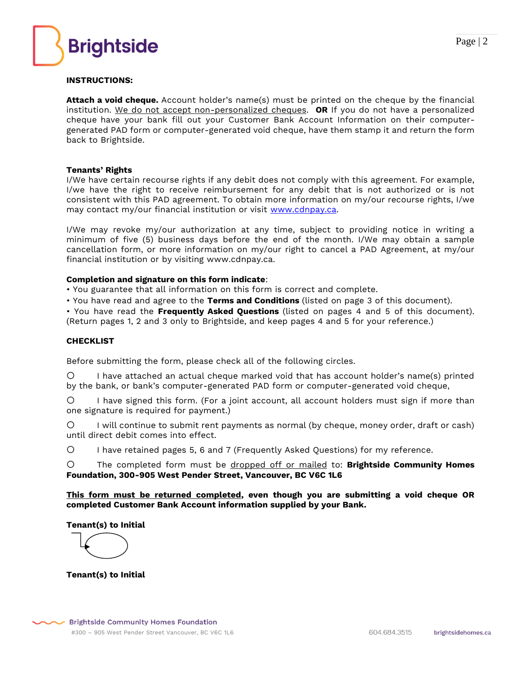

# **INSTRUCTIONS:**

**Attach a void cheque.** Account holder's name(s) must be printed on the cheque by the financial institution. We do not accept non-personalized cheques. **OR** If you do not have a personalized cheque have your bank fill out your Customer Bank Account Information on their computergenerated PAD form or computer-generated void cheque, have them stamp it and return the form back to Brightside.

#### **Tenants' Rights**

I/We have certain recourse rights if any debit does not comply with this agreement. For example, I/we have the right to receive reimbursement for any debit that is not authorized or is not consistent with this PAD agreement. To obtain more information on my/our recourse rights, I/we may contact my/our financial institution or visit [www.cdnpay.ca.](http://www.cdnpay.ca/)

I/We may revoke my/our authorization at any time, subject to providing notice in writing a minimum of five (5) business days before the end of the month. I/We may obtain a sample cancellation form, or more information on my/our right to cancel a PAD Agreement, at my/our financial institution or by visiting www.cdnpay.ca.

#### **Completion and signature on this form indicate**:

• You guarantee that all information on this form is correct and complete.

• You have read and agree to the **Terms and Conditions** (listed on page 3 of this document).

• You have read the **Frequently Asked Questions** (listed on pages 4 and 5 of this document). (Return pages 1, 2 and 3 only to Brightside, and keep pages 4 and 5 for your reference.)

#### **CHECKLIST**

Before submitting the form, please check all of the following circles.

o I have attached an actual cheque marked void that has account holder's name(s) printed by the bank, or bank's computer-generated PAD form or computer-generated void cheque,

o I have signed this form. (For a joint account, all account holders must sign if more than one signature is required for payment.)

o I will continue to submit rent payments as normal (by cheque, money order, draft or cash) until direct debit comes into effect.

o I have retained pages 5, 6 and 7 (Frequently Asked Questions) for my reference.

o The completed form must be dropped off or mailed to: **Brightside Community Homes Foundation, 300-905 West Pender Street, Vancouver, BC V6C 1L6**

**This form must be returned completed, even though you are submitting a void cheque OR completed Customer Bank Account information supplied by your Bank.**

#### **Tenant(s) to Initial**

**Tenant(s) to Initial**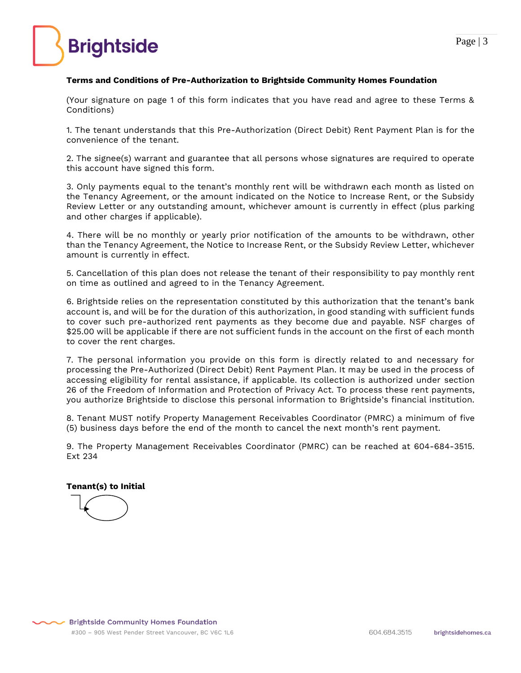# **Brightside**

# **Terms and Conditions of Pre-Authorization to Brightside Community Homes Foundation**

(Your signature on page 1 of this form indicates that you have read and agree to these Terms & Conditions)

1. The tenant understands that this Pre-Authorization (Direct Debit) Rent Payment Plan is for the convenience of the tenant.

2. The signee(s) warrant and guarantee that all persons whose signatures are required to operate this account have signed this form.

3. Only payments equal to the tenant's monthly rent will be withdrawn each month as listed on the Tenancy Agreement, or the amount indicated on the Notice to Increase Rent, or the Subsidy Review Letter or any outstanding amount, whichever amount is currently in effect (plus parking and other charges if applicable).

4. There will be no monthly or yearly prior notification of the amounts to be withdrawn, other than the Tenancy Agreement, the Notice to Increase Rent, or the Subsidy Review Letter, whichever amount is currently in effect.

5. Cancellation of this plan does not release the tenant of their responsibility to pay monthly rent on time as outlined and agreed to in the Tenancy Agreement.

6. Brightside relies on the representation constituted by this authorization that the tenant's bank account is, and will be for the duration of this authorization, in good standing with sufficient funds to cover such pre-authorized rent payments as they become due and payable. NSF charges of \$25.00 will be applicable if there are not sufficient funds in the account on the first of each month to cover the rent charges.

7. The personal information you provide on this form is directly related to and necessary for processing the Pre-Authorized (Direct Debit) Rent Payment Plan. It may be used in the process of accessing eligibility for rental assistance, if applicable. Its collection is authorized under section 26 of the Freedom of Information and Protection of Privacy Act. To process these rent payments, you authorize Brightside to disclose this personal information to Brightside's financial institution.

8. Tenant MUST notify Property Management Receivables Coordinator (PMRC) a minimum of five (5) business days before the end of the month to cancel the next month's rent payment.

9. The Property Management Receivables Coordinator (PMRC) can be reached at 604-684-3515. Ext 234

### **Tenant(s) to Initial**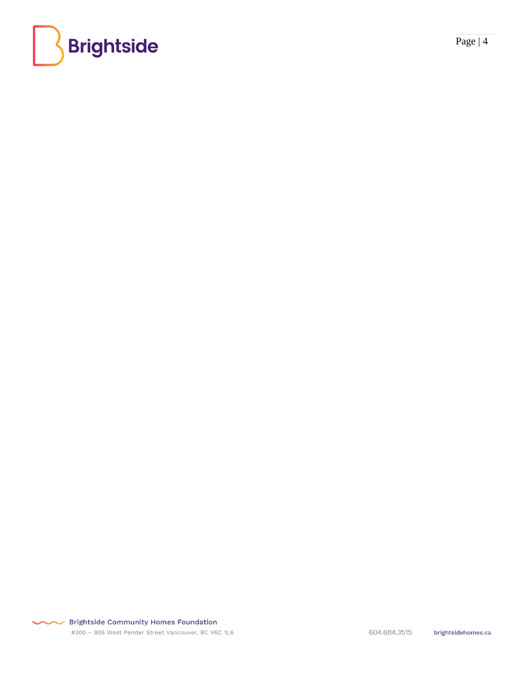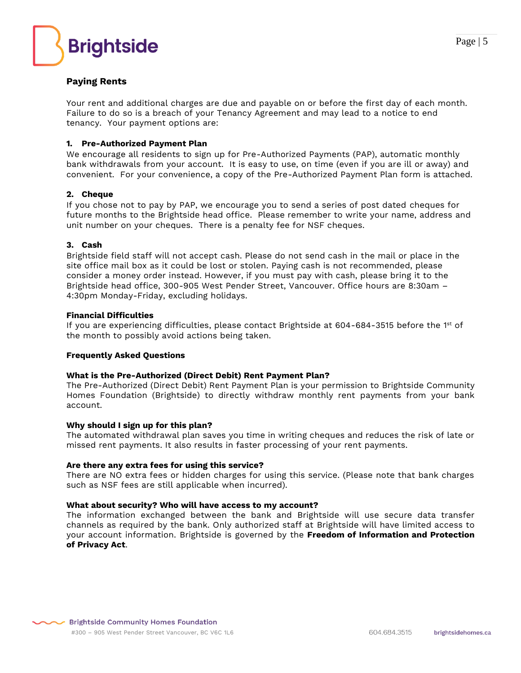

# **Paying Rents**

Your rent and additional charges are due and payable on or before the first day of each month. Failure to do so is a breach of your Tenancy Agreement and may lead to a notice to end tenancy. Your payment options are:

#### **1. Pre-Authorized Payment Plan**

We encourage all residents to sign up for Pre-Authorized Payments (PAP), automatic monthly bank withdrawals from your account. It is easy to use, on time (even if you are ill or away) and convenient. For your convenience, a copy of the Pre-Authorized Payment Plan form is attached.

#### **2. Cheque**

If you chose not to pay by PAP, we encourage you to send a series of post dated cheques for future months to the Brightside head office. Please remember to write your name, address and unit number on your cheques. There is a penalty fee for NSF cheques.

#### **3. Cash**

Brightside field staff will not accept cash. Please do not send cash in the mail or place in the site office mail box as it could be lost or stolen. Paying cash is not recommended, please consider a money order instead. However, if you must pay with cash, please bring it to the Brightside head office, 300-905 West Pender Street, Vancouver. Office hours are 8:30am – 4:30pm Monday-Friday, excluding holidays.

#### **Financial Difficulties**

If you are experiencing difficulties, please contact Brightside at  $604-684-3515$  before the 1st of the month to possibly avoid actions being taken.

#### **Frequently Asked Questions**

#### **What is the Pre-Authorized (Direct Debit) Rent Payment Plan?**

The Pre-Authorized (Direct Debit) Rent Payment Plan is your permission to Brightside Community Homes Foundation (Brightside) to directly withdraw monthly rent payments from your bank account.

#### **Why should I sign up for this plan?**

The automated withdrawal plan saves you time in writing cheques and reduces the risk of late or missed rent payments. It also results in faster processing of your rent payments.

#### **Are there any extra fees for using this service?**

There are NO extra fees or hidden charges for using this service. (Please note that bank charges such as NSF fees are still applicable when incurred).

#### **What about security? Who will have access to my account?**

The information exchanged between the bank and Brightside will use secure data transfer channels as required by the bank. Only authorized staff at Brightside will have limited access to your account information. Brightside is governed by the **Freedom of Information and Protection of Privacy Act**.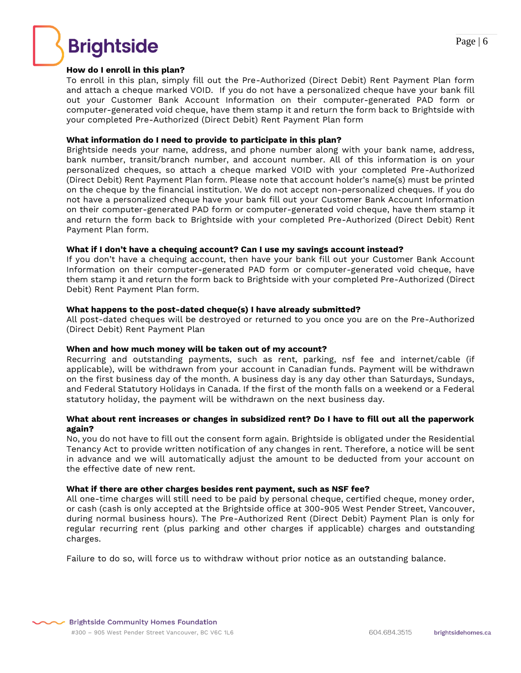

#### **How do I enroll in this plan?**

To enroll in this plan, simply fill out the Pre-Authorized (Direct Debit) Rent Payment Plan form and attach a cheque marked VOID. If you do not have a personalized cheque have your bank fill out your Customer Bank Account Information on their computer-generated PAD form or computer-generated void cheque, have them stamp it and return the form back to Brightside with your completed Pre-Authorized (Direct Debit) Rent Payment Plan form

#### **What information do I need to provide to participate in this plan?**

Brightside needs your name, address, and phone number along with your bank name, address, bank number, transit/branch number, and account number. All of this information is on your personalized cheques, so attach a cheque marked VOID with your completed Pre-Authorized (Direct Debit) Rent Payment Plan form. Please note that account holder's name(s) must be printed on the cheque by the financial institution. We do not accept non-personalized cheques. If you do not have a personalized cheque have your bank fill out your Customer Bank Account Information on their computer-generated PAD form or computer-generated void cheque, have them stamp it and return the form back to Brightside with your completed Pre-Authorized (Direct Debit) Rent Payment Plan form.

#### **What if I don't have a chequing account? Can I use my savings account instead?**

If you don't have a chequing account, then have your bank fill out your Customer Bank Account Information on their computer-generated PAD form or computer-generated void cheque, have them stamp it and return the form back to Brightside with your completed Pre-Authorized (Direct Debit) Rent Payment Plan form.

#### **What happens to the post-dated cheque(s) I have already submitted?**

All post-dated cheques will be destroyed or returned to you once you are on the Pre-Authorized (Direct Debit) Rent Payment Plan

#### **When and how much money will be taken out of my account?**

Recurring and outstanding payments, such as rent, parking, nsf fee and internet/cable (if applicable), will be withdrawn from your account in Canadian funds. Payment will be withdrawn on the first business day of the month. A business day is any day other than Saturdays, Sundays, and Federal Statutory Holidays in Canada. If the first of the month falls on a weekend or a Federal statutory holiday, the payment will be withdrawn on the next business day.

#### **What about rent increases or changes in subsidized rent? Do I have to fill out all the paperwork again?**

No, you do not have to fill out the consent form again. Brightside is obligated under the Residential Tenancy Act to provide written notification of any changes in rent. Therefore, a notice will be sent in advance and we will automatically adjust the amount to be deducted from your account on the effective date of new rent.

#### **What if there are other charges besides rent payment, such as NSF fee?**

All one-time charges will still need to be paid by personal cheque, certified cheque, money order, or cash (cash is only accepted at the Brightside office at 300-905 West Pender Street, Vancouver, during normal business hours). The Pre-Authorized Rent (Direct Debit) Payment Plan is only for regular recurring rent (plus parking and other charges if applicable) charges and outstanding charges.

Failure to do so, will force us to withdraw without prior notice as an outstanding balance.